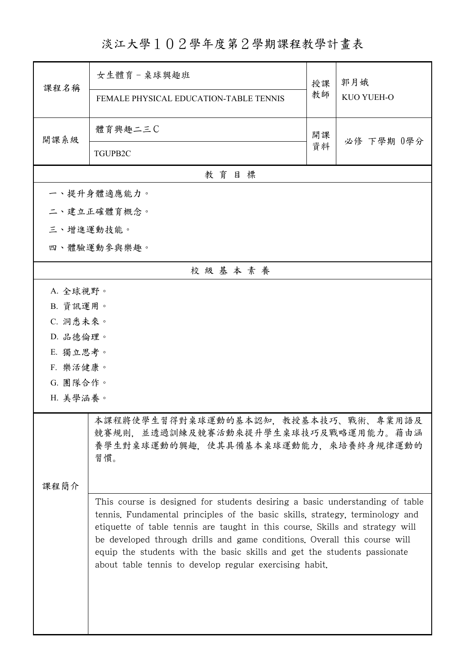## 淡江大學102學年度第2學期課程教學計畫表

| 課程名稱                 | 女生體育-桌球興趣班<br>FEMALE PHYSICAL EDUCATION-TABLE TENNIS                                                                                                                                                                                                                                                                                                                                                                                                               | 授課<br>教師 | 郭月娥<br>KUO YUEH-O |  |
|----------------------|--------------------------------------------------------------------------------------------------------------------------------------------------------------------------------------------------------------------------------------------------------------------------------------------------------------------------------------------------------------------------------------------------------------------------------------------------------------------|----------|-------------------|--|
|                      |                                                                                                                                                                                                                                                                                                                                                                                                                                                                    |          |                   |  |
| 開課系級                 | 體育興趣二三C                                                                                                                                                                                                                                                                                                                                                                                                                                                            | 開課       | 必修 下學期 0學分        |  |
|                      | TGUPB2C                                                                                                                                                                                                                                                                                                                                                                                                                                                            | 資料       |                   |  |
|                      | 教育目標                                                                                                                                                                                                                                                                                                                                                                                                                                                               |          |                   |  |
|                      | 一、提升身體適應能力。                                                                                                                                                                                                                                                                                                                                                                                                                                                        |          |                   |  |
|                      | 二、建立正確體育概念。                                                                                                                                                                                                                                                                                                                                                                                                                                                        |          |                   |  |
| 三、增進運動技能。            |                                                                                                                                                                                                                                                                                                                                                                                                                                                                    |          |                   |  |
|                      | 四、體驗運動參與樂趣。                                                                                                                                                                                                                                                                                                                                                                                                                                                        |          |                   |  |
|                      | 校級基本素養                                                                                                                                                                                                                                                                                                                                                                                                                                                             |          |                   |  |
| A. 全球視野。             |                                                                                                                                                                                                                                                                                                                                                                                                                                                                    |          |                   |  |
| B. 資訊運用。             |                                                                                                                                                                                                                                                                                                                                                                                                                                                                    |          |                   |  |
| C. 洞悉未來。             |                                                                                                                                                                                                                                                                                                                                                                                                                                                                    |          |                   |  |
| D. 品德倫理。             |                                                                                                                                                                                                                                                                                                                                                                                                                                                                    |          |                   |  |
| E. 獨立思考。             |                                                                                                                                                                                                                                                                                                                                                                                                                                                                    |          |                   |  |
| F. 樂活健康。             |                                                                                                                                                                                                                                                                                                                                                                                                                                                                    |          |                   |  |
| G. 團隊合作。<br>H. 美學涵養。 |                                                                                                                                                                                                                                                                                                                                                                                                                                                                    |          |                   |  |
|                      |                                                                                                                                                                                                                                                                                                                                                                                                                                                                    |          |                   |  |
|                      | 本課程將使學生習得對桌球運動的基本認知,教授基本技巧、戰術、專業用語及<br>競賽規則,並透過訓練及競賽活動來提升學生桌球技巧及戰略運用能力。藉由涵<br>養學生對桌球運動的興趣,使其具備基本桌球運動能力,來培養終身規律運動的<br>習慣。                                                                                                                                                                                                                                                                                                                                           |          |                   |  |
| 课程简介                 |                                                                                                                                                                                                                                                                                                                                                                                                                                                                    |          |                   |  |
|                      | This course is designed for students desiring a basic understanding of table<br>tennis. Fundamental principles of the basic skills, strategy, terminology and<br>etiquette of table tennis are taught in this course. Skills and strategy will<br>be developed through drills and game conditions. Overall this course will<br>equip the students with the basic skills and get the students passionate<br>about table tennis to develop regular exercising habit. |          |                   |  |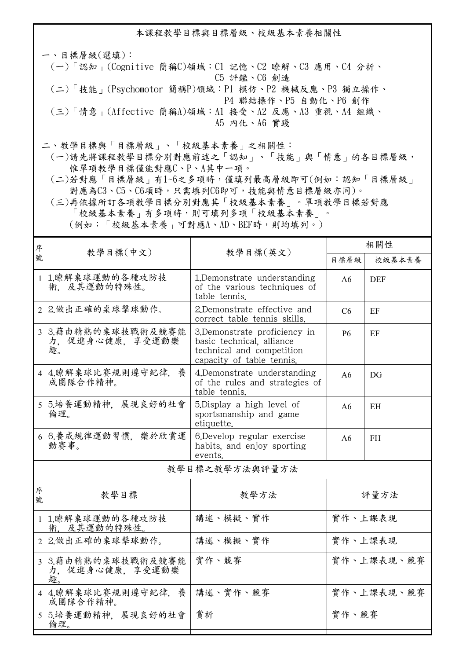本課程教學目標與目標層級、校級基本素養相關性

一、目標層級(選填): (一)「認知」(Cognitive 簡稱C)領域:C1 記憶、C2 瞭解、C3 應用、C4 分析、 C5 評鑑、C6 創造 (二)「技能」(Psychomotor 簡稱P)領域:P1 模仿、P2 機械反應、P3 獨立操作、 P4 聯結操作、P5 自動化、P6 創作 (三)「情意」(Affective 簡稱A)領域:A1 接受、A2 反應、A3 重視、A4 組織、 A5 內化、A6 實踐

二、教學目標與「目標層級」、「校級基本素養」之相關性:

 (一)請先將課程教學目標分別對應前述之「認知」、「技能」與「情意」的各目標層級, 惟單項教學目標僅能對應C、P、A其中一項。

 (二)若對應「目標層級」有1~6之多項時,僅填列最高層級即可(例如:認知「目標層級」 對應為C3、C5、C6項時,只需填列C6即可,技能與情意目標層級亦同)。

 (三)再依據所訂各項教學目標分別對應其「校級基本素養」。單項教學目標若對應 「校級基本素養」有多項時,則可填列多項「校級基本素養」。 (例如:「校級基本素養」可對應A、AD、BEF時,則均填列。)

| 序              |                                          |                                                                                                                     | 相關性            |            |  |
|----------------|------------------------------------------|---------------------------------------------------------------------------------------------------------------------|----------------|------------|--|
| 號              | 教學目標(中文)                                 | 教學目標(英文)                                                                                                            | 目標層級           | 校級基本素養     |  |
| 1 <sup>1</sup> | 1.瞭解桌球運動的各種攻防技<br>術. 及其運動的特殊性。           | 1.Demonstrate understanding<br>of the various techniques of<br>table tennis.                                        | A6             | <b>DEF</b> |  |
| $\overline{2}$ | 2.做出正確的桌球擊球動作。                           | 2.Demonstrate effective and<br>correct table tennis skills.                                                         | C <sub>6</sub> | EF         |  |
| $\overline{3}$ | 3.藉由精熟的桌球技戰術及競賽能<br>力,促進身心健康,享受運動樂<br>趣。 | 3.Demonstrate proficiency in<br>basic technical, alliance<br>technical and competition<br>capacity of table tennis. | <b>P6</b>      | EF         |  |
| $\overline{4}$ | 4.瞭解桌球比賽規則遵守紀律,<br>養<br>成團隊合作精神。         | 4.Demonstrate understanding<br>of the rules and strategies of<br>table tennis.                                      | A <sub>6</sub> | DG         |  |
|                | 5 5.培養運動精神, 展現良好的社會<br>倫理。               | 5. Display a high level of<br>sportsmanship and game<br>etiquette.                                                  | A <sub>6</sub> | EH         |  |
|                | 6 6.養成規律運動習慣, 樂於欣賞運<br>動賽事。              | 6.Develop regular exercise<br>habits, and enjoy sporting<br>events.                                                 | A <sub>6</sub> | <b>FH</b>  |  |
| 教學目標之教學方法與評量方法 |                                          |                                                                                                                     |                |            |  |
| 序<br>號         | 教學目標                                     | 教學方法                                                                                                                |                | 評量方法       |  |
|                | 1 1.瞭解桌球運動的各種攻防技<br>術. 及其運動的特殊性。         | 講述、模擬、實作                                                                                                            | 實作、上課表現        |            |  |
| $\overline{2}$ | 2.做出正確的桌球擊球動作。                           | 講述、模擬、實作                                                                                                            | 實作、上課表現        |            |  |
| $\overline{3}$ | 3.藉由精熟的桌球技戰術及競賽能<br>力,促進身心健康,享受運動樂<br>趣  | 實作、競賽                                                                                                               | 實作、上課表現、競賽     |            |  |
| $\vert$ 4      | 4.瞭解桌球比賽規則遵守紀律,養<br>成團隊合作精神。             | 講述、實作、競賽                                                                                                            |                | 實作、上課表現、競賽 |  |
| 5 <sup>5</sup> | 5.培養運動精神, 展現良好的社會<br>倫理。                 | 賞析                                                                                                                  | 實作、競賽          |            |  |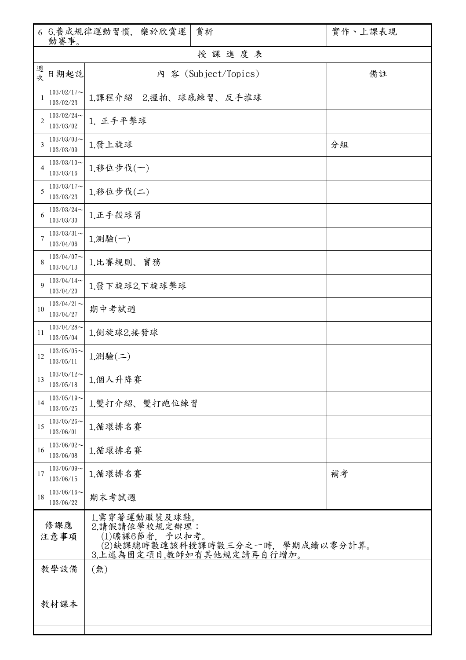| 6              | 動賽事。                       | 6. 養成規律運動習慣, 樂於欣賞運                                          | 賞析                                                 | 實作、上課表現 |  |
|----------------|----------------------------|-------------------------------------------------------------|----------------------------------------------------|---------|--|
|                |                            |                                                             | 授課進度表                                              |         |  |
| 週<br>次         | 日期起訖                       |                                                             | 內 容 (Subject/Topics)                               | 備註      |  |
| 1              | $103/02/17$ ~<br>103/02/23 | 1.課程介紹 2.握拍、球感練習、反手推球                                       |                                                    |         |  |
| $\overline{2}$ | $103/02/24$ ~<br>103/03/02 | 1. 正手平擊球                                                    |                                                    |         |  |
| 3              | $103/03/03$ ~<br>103/03/09 | 1.發上旋球                                                      | 分組                                                 |         |  |
| $\overline{4}$ | $103/03/10$ ~<br>103/03/16 | 1.移位步伐(一)                                                   |                                                    |         |  |
| 5              | $103/03/17$ ~<br>103/03/23 | 1.移位步伐(二)                                                   |                                                    |         |  |
| 6              | $103/03/24$ ~<br>103/03/30 | 1.正手殺球習                                                     |                                                    |         |  |
| 7              | $103/03/31$ ~<br>103/04/06 | 1.測驗(一)                                                     |                                                    |         |  |
| 8              | $103/04/07$ ~<br>103/04/13 | 1.比賽規則、實務                                                   |                                                    |         |  |
| 9              | $103/04/14$ ~<br>103/04/20 | 1.發下旋球2.下旋球擊球                                               |                                                    |         |  |
| 10             | $103/04/21$ ~<br>103/04/27 | 期中考試週                                                       |                                                    |         |  |
| 11             | $103/04/28$ ~<br>103/05/04 | 1.側旋球2.接發球                                                  |                                                    |         |  |
| 12             | $103/05/05$ ~<br>103/05/11 | $1.$ 測驗 $($ 二 $)$                                           |                                                    |         |  |
| 13             | $103/05/12$ ~<br>103/05/18 | 1.個人升降賽                                                     |                                                    |         |  |
| 14             | $103/05/19$ ~<br>103/05/25 | 1.雙打介紹、雙打跑位練習                                               |                                                    |         |  |
| 15             | $103/05/26$ ~<br>103/06/01 | 1.循環排名賽                                                     |                                                    |         |  |
| 16             | $103/06/02$ ~<br>103/06/08 | 1.循環排名賽                                                     |                                                    |         |  |
| 17             | $103/06/09$ ~<br>103/06/15 | 1.循環排名賽                                                     |                                                    | 補考      |  |
| 18             | $103/06/16$ ~<br>103/06/22 | 期末考試週                                                       |                                                    |         |  |
| 修課應<br>注意事項    |                            | 1.需穿著運動服裝及球鞋。<br>2.請假請依學校規定辦理:<br>3.上述為固定項目,教師如有其他規定請再自行增加。 | ;(1)曠課6節者,予以扣考。<br>(2)缺課總時數達該科授課時數三分之一時,學期成績以零分計算。 |         |  |
|                | 教學設備<br>(無)                |                                                             |                                                    |         |  |
| 教材課本           |                            |                                                             |                                                    |         |  |